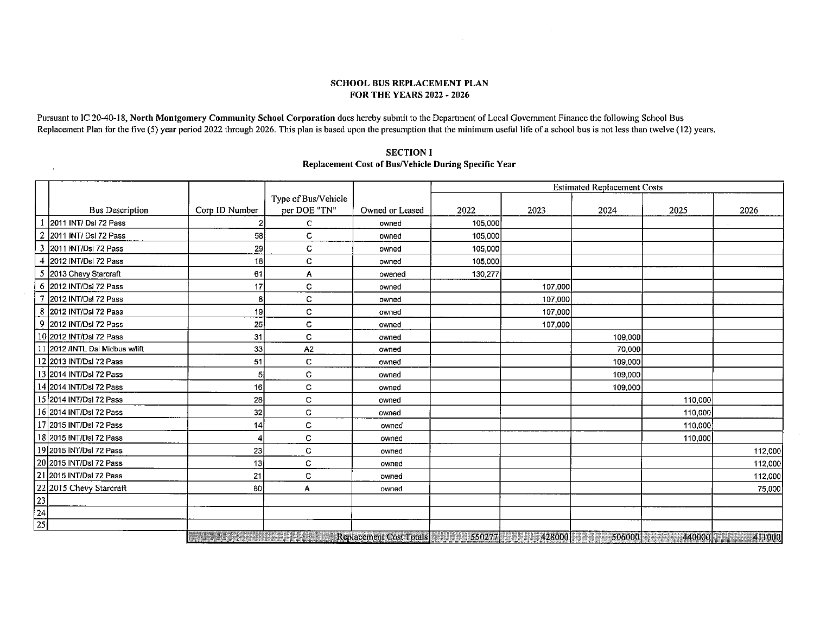#### SCHOOL BUS REPLACEMENT PLAN FOR THE YEARS 2022 -2026

Pursuant to IC 20-40-18, North Montgomery Community School Corporation does hereby submit to the Department of Local Government Finance the following School Bus Replacement Plan for the five (5) year period 2022 through 2026. This plan is based upon the presumption that the minimum useful life of a school bus is not less than twelve (12) years.

 $\epsilon$ 

#### SECTION I

### Replacement Cost of Bus/Vehicle During Specific Year

|                 |                                  |                                         |                     |                                             | <b>Estimated Replacement Costs</b> |         |         |         |              |
|-----------------|----------------------------------|-----------------------------------------|---------------------|---------------------------------------------|------------------------------------|---------|---------|---------|--------------|
|                 |                                  |                                         | Type of Bus/Vehicle |                                             |                                    |         |         |         |              |
|                 | <b>Bus Description</b>           | Corp ID Number                          | per DOE "TN"        | Owned or Leased                             | 2022                               | 2023    | 2024    | 2025    | 2026         |
|                 | 2011 INT/ Dsl 72 Pass            |                                         | $\mathbf{C}$        | owned                                       | 105,000                            |         |         |         |              |
|                 | 2011 INT/ Dsl 72 Pass            | 58                                      | C                   | owned                                       | 105,000                            |         |         |         |              |
| 3               | 2011 INT/Dsl 72 Pass             | 29                                      | C                   | owned                                       | 105,000                            |         |         |         |              |
|                 | 4 2012 INT/Dsl 72 Pass           | 18                                      | C                   | owned                                       | 105,000                            |         |         |         |              |
| 5               | 2013 Chevy Starcraft             | 61                                      | Α                   | owened                                      | 130,277                            |         |         |         |              |
|                 | 6 2012 INT/Dsl 72 Pass           | 17                                      | с                   | owned                                       |                                    | 107,000 |         |         |              |
|                 | 2012 INT/Dsl 72 Pass             | 8                                       | C                   | owned                                       |                                    | 107,000 |         |         |              |
|                 | 8 2012 INT/Dsl 72 Pass           | 19                                      | c                   | owned                                       |                                    | 107,000 |         |         |              |
|                 | 9 2012 INT/Dsl 72 Pass           | 25                                      | C                   | owned                                       |                                    | 107,000 |         |         |              |
|                 | 10 2012 INT/Dsl 72 Pass          | 31                                      | c                   | owned                                       |                                    |         | 109,000 |         |              |
|                 | 11 2012 / INTL Dsl Midbus w/lift | 33                                      | A <sub>2</sub>      | owned                                       |                                    |         | 70,000  |         |              |
|                 | 12 2013 INT/Dsl 72 Pass          | 51                                      | C                   | owned                                       |                                    |         | 109,000 |         |              |
|                 | 13 2014 INT/Dsl 72 Pass          | 51                                      | с                   | owned                                       |                                    |         | 109,000 |         |              |
|                 | 14 2014 INT/Dsl 72 Pass          | 16I                                     | C                   | owned                                       |                                    |         | 109,000 |         |              |
|                 | 15 2014 INT/Dsl 72 Pass          | 28                                      | c                   | owned                                       |                                    |         |         | 110,000 |              |
|                 | 16 2014 INT/Dsl 72 Pass          | 32                                      | C                   | owned                                       |                                    |         |         | 110,000 |              |
|                 | 17 2015 INT/Dsl 72 Pass          | 14                                      | C                   | owned                                       |                                    |         |         | 110,000 |              |
|                 | 18 2015 INT/Dsl 72 Pass          |                                         | C                   | owned                                       |                                    |         |         | 110,000 |              |
|                 | 19 2015 INT/Dsl 72 Pass          | 23                                      | c                   | owned                                       |                                    |         |         |         | 112,000      |
|                 | 20 2015 INT/Dsl 72 Pass          | 13İ                                     | c                   | owned                                       |                                    |         |         |         | 112,000      |
|                 | 21 2015 INT/Dsl 72 Pass          | 21                                      | C                   | owned                                       |                                    |         |         |         | 112,000      |
|                 | 22 2015 Chevy Starcraft          | 60                                      | Α                   | owned                                       |                                    |         |         |         | 75,000       |
|                 |                                  |                                         |                     |                                             |                                    |         |         |         |              |
| $\frac{23}{24}$ |                                  |                                         |                     |                                             |                                    |         |         |         |              |
| $\overline{25}$ |                                  |                                         |                     |                                             |                                    |         |         |         |              |
|                 |                                  | <b>The Commission of the Commission</b> |                     | Replacement Cost Totals 7 18 18 18 18 18 19 |                                    | 428000  |         |         | 440000 41000 |